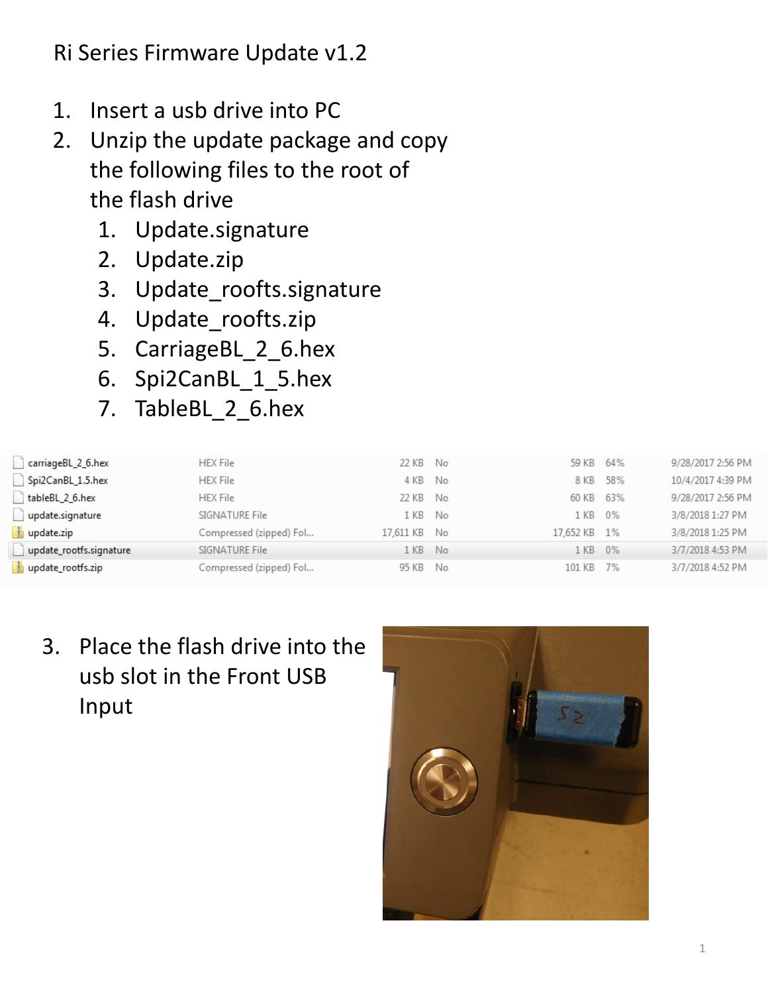- 1. Insert a usb drive into PC
- 2. Unzip the update package and copy the following files to the root of the flash drive
	- 1. Update.signature
	- 2. Update.zip
	- 3. Update roofts.signature
	- 4. Update\_roofts.zip
	- 5. CarriageBL 2 6.hex
	- 6. Spi2CanBL\_1\_5.hex
	- 7. TableBL\_2\_6.hex

| carriageBL_2_6.hex      | <b>HEX File</b>         | 22 KB        | No   | 59 KB     | 64%  | 9/28/2017 2:56 PM |
|-------------------------|-------------------------|--------------|------|-----------|------|-------------------|
| Spi2CanBL 1.5.hex       | <b>HEX File</b>         | 4 KB         | No   | 8 KB      | 58%  | 10/4/2017 4:39 PM |
| tableBL 2 6.hex         | <b>HEX File</b>         | 22 KB        | No   | 60 KB     | 63%  | 9/28/2017 2:56 PM |
| update.signature        | SIGNATURE File          | 1 KB         | No   | 1 KB      | 0%   | 3/8/2018 1:27 PM  |
| update.zip              | Compressed (zipped) Fol | 17.611 KB No |      | 17,652 KB | - 1% | 3/8/2018 1:25 PM  |
| update_rootfs.signature | SIGNATURE File          | 1 KB.        | -No  | 1 KB.     | - 0% | 3/7/2018 4:53 PM  |
| update_rootfs.zip       | Compressed (zipped) Fol | 95 KB        | - No | 101 KB    | - 7% | 3/7/2018 4:52 PM  |
|                         |                         |              |      |           |      |                   |

3. Place the flash drive into the usb slot in the Front USB Input

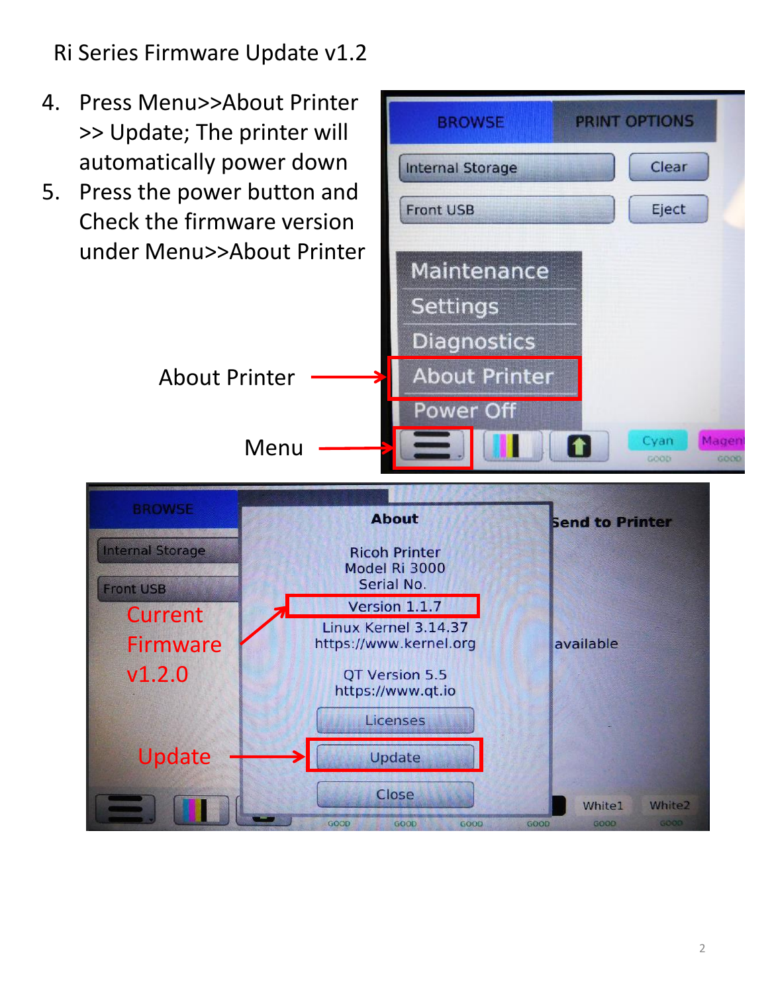- 4. Press Menu>>About Printer >> Update; The printer will automatically power down
- 5. Press the power button and Check the firmware version under Menu>>About Printer



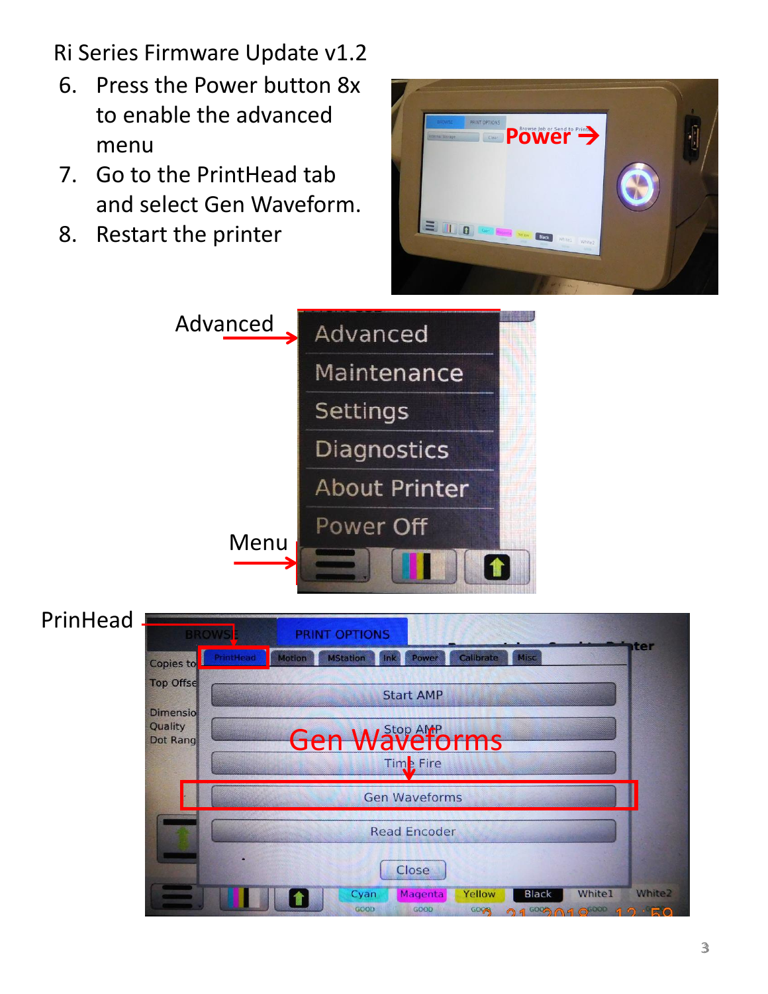- 6. Press the Power button 8x to enable the advanced menu
- 7. Go to the PrintHead tab and select Gen Waveform.
- 8. Restart the printer





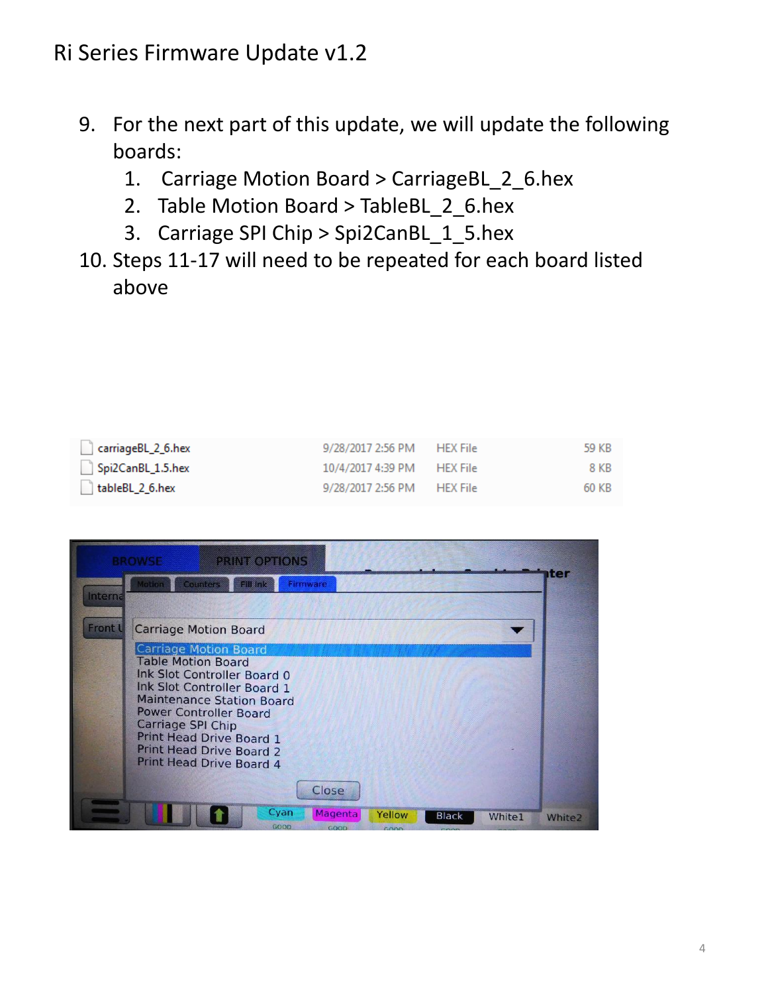- 9. For the next part of this update, we will update the following boards:
	- 1. Carriage Motion Board > CarriageBL 2 6.hex
	- 2. Table Motion Board > TableBL 2 6.hex
	- 3. Carriage SPI Chip > Spi2CanBL\_1\_5.hex
- 10. Steps 11-17 will need to be repeated for each board listed above

| carriageBL_2_6.hex | 9/28/2017 2:56 PM HEX File | 59 KB |
|--------------------|----------------------------|-------|
| Spi2CanBL_1.5.hex  | 10/4/2017 4:39 PM HEX File | 8 KB  |
| tableBL 2 6.hex    | 9/28/2017 2:56 PM HEX File | 60 KB |

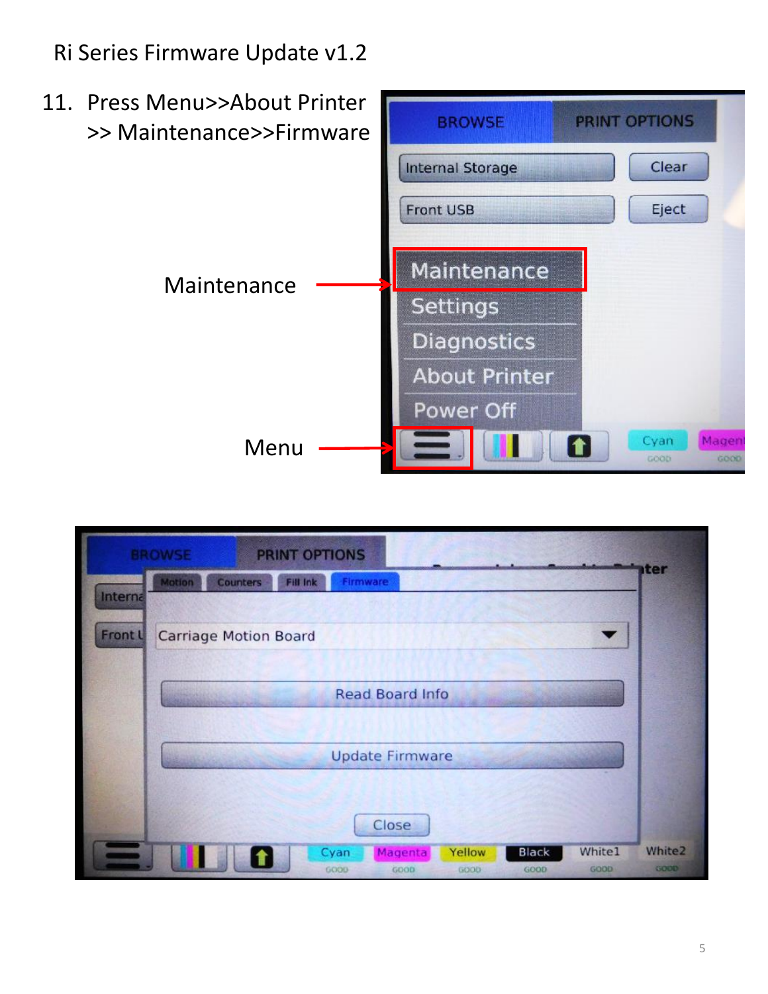

|         | <b>PRINT OPTIONS</b><br><b>BROWSE</b>                                                                   |                       |
|---------|---------------------------------------------------------------------------------------------------------|-----------------------|
| Interna | Counters<br>Fill Ink<br>Firmware<br><b>Motion</b>                                                       | <b>iter</b>           |
| Front L | <b>Carriage Motion Board</b>                                                                            |                       |
|         | Read Board Info                                                                                         |                       |
|         | <b>Update Firmware</b><br><b>Committee</b>                                                              |                       |
|         | Close                                                                                                   |                       |
|         | White1<br>Yellow<br><b>Black</b><br>Cyan<br>Magenta<br>1<br>6000<br>GOOD<br>GOOD<br>GOOD<br><b>GOOD</b> | White2<br><b>GOOD</b> |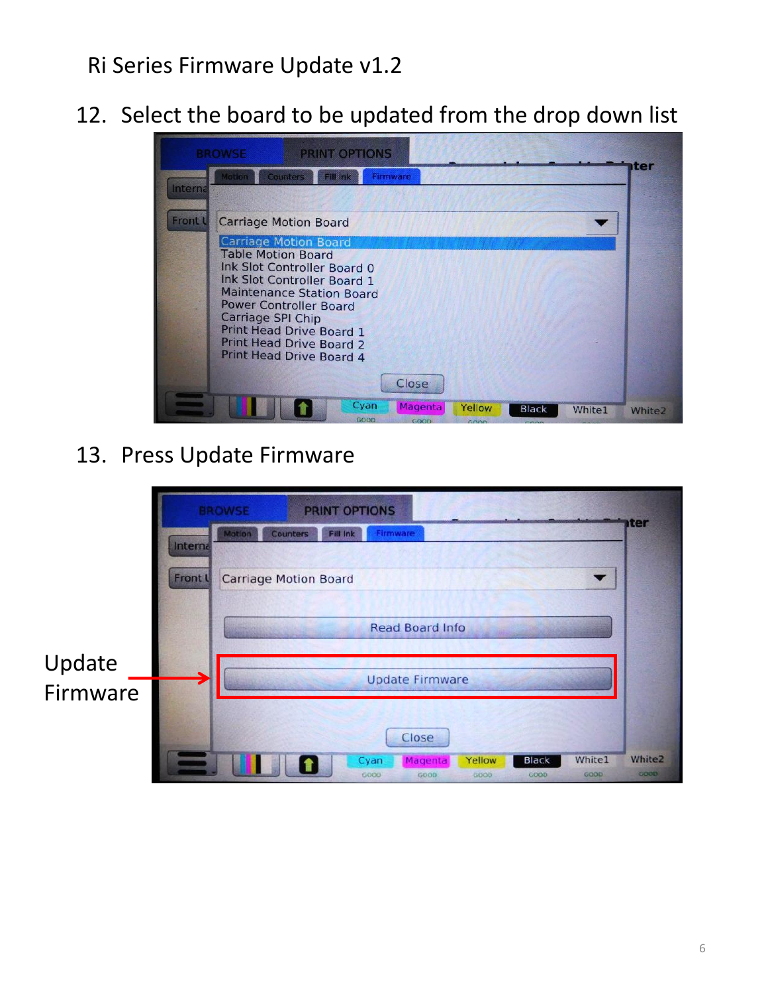12. Select the board to be updated from the drop down list

| <b>BROWSE</b><br><b>Motion</b> | <b>PRINT OPTIONS</b><br><b>Counters</b><br><b>Fill Ink</b>         | Firmware       |        |              |               | ter                |
|--------------------------------|--------------------------------------------------------------------|----------------|--------|--------------|---------------|--------------------|
| Interna                        |                                                                    |                |        |              |               |                    |
| <b>Front L</b>                 | <b>Carriage Motion Board</b>                                       |                |        |              |               |                    |
|                                | <b>Carriage Motion Board</b>                                       |                |        |              |               |                    |
|                                | <b>Table Motion Board</b><br>Ink Slot Controller Board 0           |                |        |              |               |                    |
|                                | Ink Slot Controller Board 1<br><b>Maintenance Station Board</b>    |                |        |              |               |                    |
|                                | <b>Power Controller Board</b>                                      |                |        |              |               |                    |
|                                | Carriage SPI Chip<br><b>Print Head Drive Board 1</b>               |                |        |              |               |                    |
|                                | <b>Print Head Drive Board 2</b><br><b>Print Head Drive Board 4</b> |                |        |              |               |                    |
|                                |                                                                    | <b>Close</b>   |        |              |               |                    |
|                                | Cyan                                                               | <b>Magenta</b> | Yellow | <b>Black</b> | <b>White1</b> | White <sub>2</sub> |

#### 13. Press Update Firmware

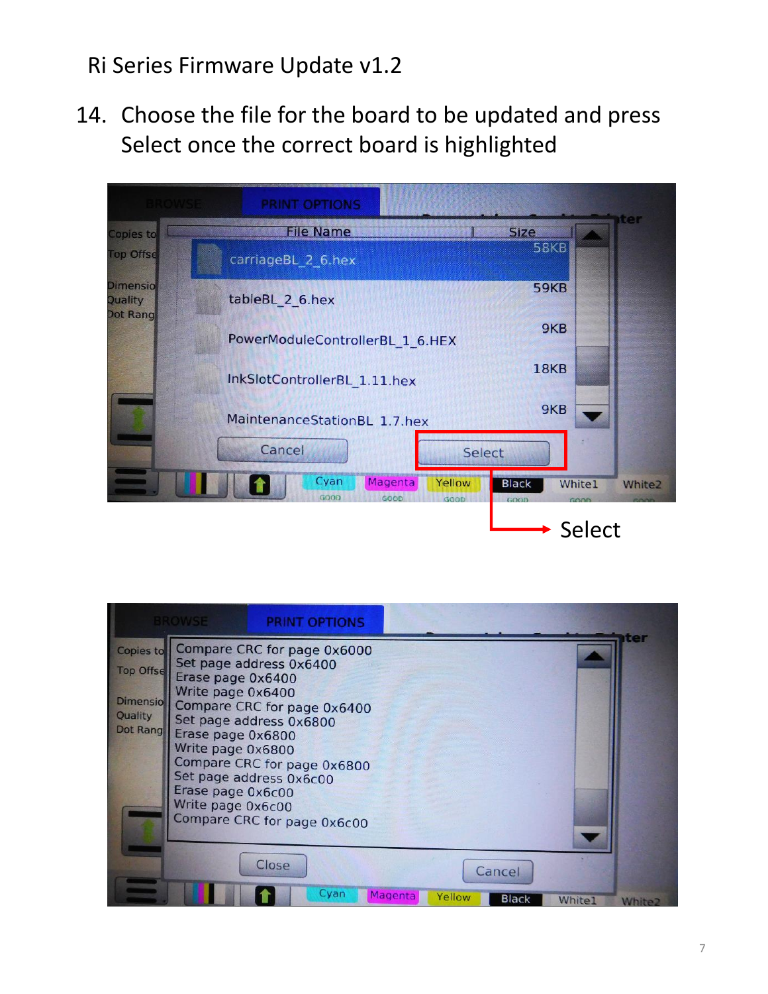14. Choose the file for the board to be updated and press Select once the correct board is highlighted

|                                        | <b>PRINT OPTIONS</b>                              |                      |                                        |
|----------------------------------------|---------------------------------------------------|----------------------|----------------------------------------|
| Copies to                              | <b>File Name</b>                                  | <b>Size</b>          | ter                                    |
| <b>Top Offse</b>                       | carriageBL_2_6.hex                                | 58KB                 |                                        |
| <b>Dimensio</b><br>Quality<br>Dot Rang | tableBL 2 6.hex                                   | <b>59KB</b>          |                                        |
|                                        | PowerModuleControllerBL_1_6.HEX                   | 9KB                  |                                        |
|                                        | InkSlotControllerBL 1.11.hex                      | <b>18KB</b>          |                                        |
|                                        | MaintenanceStationBL 1.7.hex                      | 9KB                  |                                        |
|                                        | Cancel                                            | Select               |                                        |
|                                        | Cyan<br>Magenta<br>Yellow<br>GOOD<br>GOOD<br>GOOD | <b>Black</b><br>GOOD | <b>White1</b><br><b>White2</b><br>GOOD |
|                                        |                                                   |                      | Select                                 |

|                                                             | <b>RROWSE</b>                                                                                                                         | <b>PRINT OPTIONS</b>                                                                                                                                                                                      |                 |                 |       |     |
|-------------------------------------------------------------|---------------------------------------------------------------------------------------------------------------------------------------|-----------------------------------------------------------------------------------------------------------------------------------------------------------------------------------------------------------|-----------------|-----------------|-------|-----|
| Copies to<br><b>Top Offse</b><br><b>Dimensio</b><br>Quality | Erase page 0x6400<br>Write page 0x6400<br>Dot Rang   Erase page 0x6800<br>Write page 0x6800<br>Erase page 0x6c00<br>Write page 0x6c00 | Compare CRC for page 0x6000<br>Set page address 0x6400<br>Compare CRC for page 0x6400<br>Set page address 0x6800<br>Compare CRC for page 0x6800<br>Set page address 0x6c00<br>Compare CRC for page 0x6c00 |                 |                 |       | rer |
|                                                             |                                                                                                                                       | Close                                                                                                                                                                                                     |                 | Cancel          |       |     |
|                                                             |                                                                                                                                       |                                                                                                                                                                                                           | Cyan<br>Magenta | Yellow<br>Black | White |     |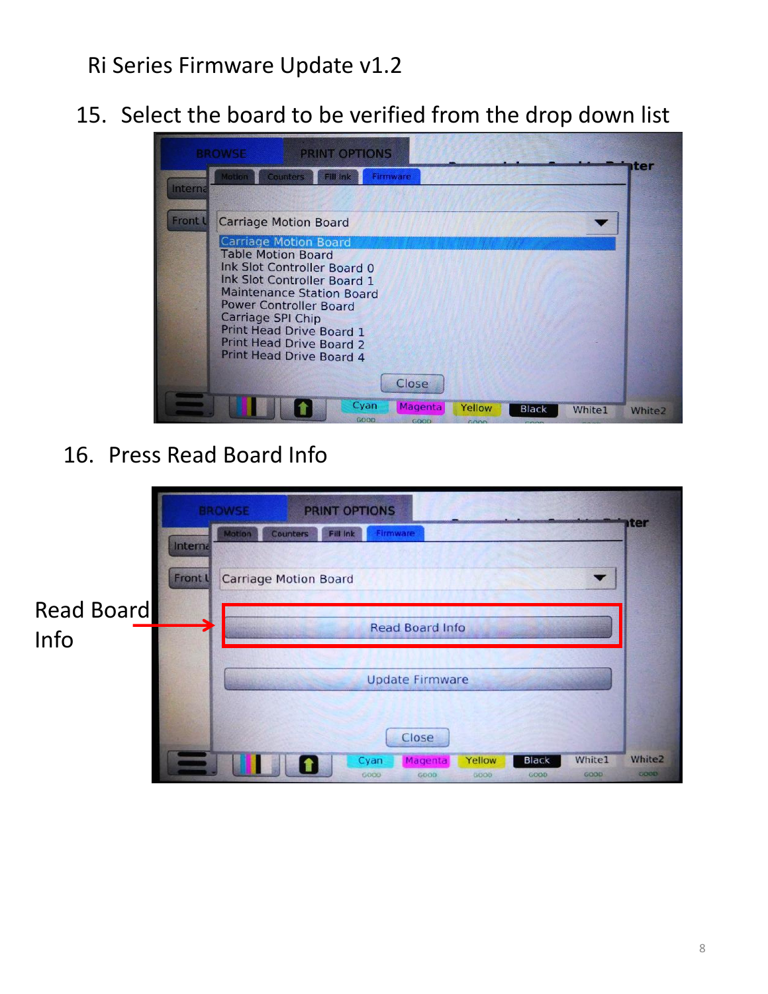15. Select the board to be verified from the drop down list

| <b>BROWSE</b>            | <b>PRINT OPTIONS</b>                                               |          |        |              |        |                    |
|--------------------------|--------------------------------------------------------------------|----------|--------|--------------|--------|--------------------|
| <b>Motion</b><br>Interna | <b>Counters</b><br><b>Fill Ink</b>                                 | Firmware |        |              |        | tter               |
| Front L                  | <b>Carriage Motion Board</b>                                       |          |        |              |        |                    |
|                          | <b>Carriage Motion Board</b><br><b>Table Motion Board</b>          |          |        |              |        |                    |
|                          | <b>Ink Slot Controller Board 0</b><br>Ink Slot Controller Board 1  |          |        |              |        |                    |
|                          | <b>Maintenance Station Board</b><br><b>Power Controller Board</b>  |          |        |              |        |                    |
| Carriage SPI Chip        | Print Head Drive Board 1                                           |          |        |              |        |                    |
|                          | <b>Print Head Drive Board 2</b><br><b>Print Head Drive Board 4</b> |          |        |              |        |                    |
|                          |                                                                    | Close    |        |              |        |                    |
|                          | Cyan                                                               | Magenta  | Yellow | <b>Black</b> | White1 | White <sub>2</sub> |

#### 16. Press Read Board Info